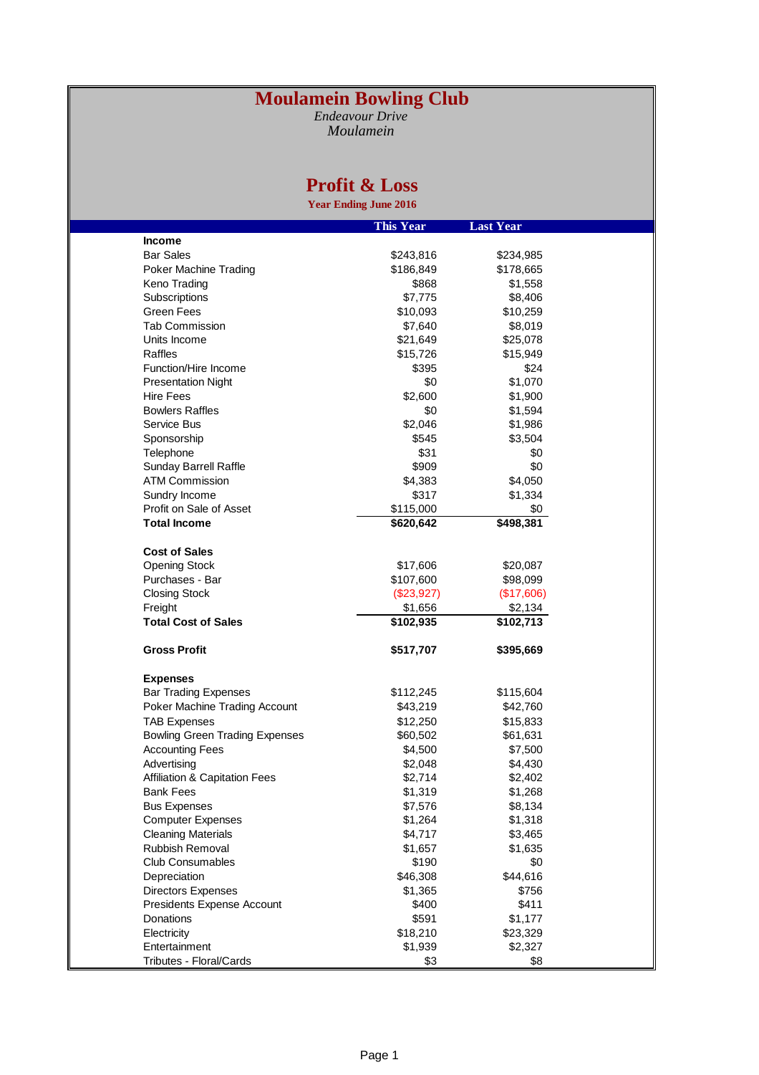## **Moulamein Bowling Club**

*Endeavour Drive Moulamein*

## **Profit & Loss**

**Year Ending June 2016**

|                                          | <b>This Year</b> | <b>Last Year</b> |  |
|------------------------------------------|------------------|------------------|--|
| <b>Income</b>                            |                  |                  |  |
| <b>Bar Sales</b>                         | \$243,816        | \$234,985        |  |
| <b>Poker Machine Trading</b>             | \$186,849        | \$178,665        |  |
| Keno Trading                             | \$868            | \$1,558          |  |
| Subscriptions                            | \$7,775          | \$8,406          |  |
| Green Fees                               | \$10,093         | \$10,259         |  |
| <b>Tab Commission</b>                    | \$7,640          | \$8,019          |  |
| Units Income                             | \$21,649         | \$25,078         |  |
| Raffles                                  | \$15,726         | \$15,949         |  |
| Function/Hire Income                     | \$395            | \$24             |  |
| <b>Presentation Night</b>                | \$0              | \$1,070          |  |
| <b>Hire Fees</b>                         | \$2,600          | \$1,900          |  |
| <b>Bowlers Raffles</b>                   | \$0              | \$1,594          |  |
| Service Bus                              | \$2,046          | \$1,986          |  |
|                                          | \$545            |                  |  |
| Sponsorship                              |                  | \$3,504          |  |
| Telephone                                | \$31             | \$0              |  |
| Sunday Barrell Raffle                    | \$909            | \$0              |  |
| ATM Commission                           | \$4,383          | \$4,050          |  |
| Sundry Income                            | \$317            | \$1,334          |  |
| Profit on Sale of Asset                  | \$115,000        | \$0              |  |
| <b>Total Income</b>                      | \$620,642        | \$498,381        |  |
|                                          |                  |                  |  |
| <b>Cost of Sales</b>                     |                  |                  |  |
| <b>Opening Stock</b>                     | \$17,606         | \$20,087         |  |
| Purchases - Bar                          | \$107,600        | \$98,099         |  |
| <b>Closing Stock</b>                     | $(\$23,927)$     | (\$17,606)       |  |
| Freight                                  | \$1,656          | \$2,134          |  |
| <b>Total Cost of Sales</b>               | \$102,935        | \$102,713        |  |
|                                          |                  |                  |  |
| <b>Gross Profit</b>                      | \$517,707        | \$395,669        |  |
|                                          |                  |                  |  |
| <b>Expenses</b>                          |                  |                  |  |
| <b>Bar Trading Expenses</b>              | \$112,245        | \$115,604        |  |
| Poker Machine Trading Account            | \$43,219         | \$42,760         |  |
| <b>TAB Expenses</b>                      | \$12,250         | \$15,833         |  |
| <b>Bowling Green Trading Expenses</b>    | \$60,502         | \$61,631         |  |
| <b>Accounting Fees</b>                   | \$4,500          | \$7,500          |  |
| Advertising                              | \$2,048          | \$4,430          |  |
| <b>Affiliation &amp; Capitation Fees</b> | \$2,714          | \$2,402          |  |
| Bank Fees                                | \$1,319          | \$1,268          |  |
| <b>Bus Expenses</b>                      | \$7,576          | \$8,134          |  |
| <b>Computer Expenses</b>                 | \$1,264          | \$1,318          |  |
| <b>Cleaning Materials</b>                | \$4,717          | \$3,465          |  |
| Rubbish Removal                          | \$1,657          | \$1,635          |  |
| <b>Club Consumables</b>                  | \$190            | \$0              |  |
| Depreciation                             | \$46,308         | \$44,616         |  |
| <b>Directors Expenses</b>                | \$1,365          | \$756            |  |
| Presidents Expense Account               | \$400            | \$411            |  |
| Donations                                | \$591            | \$1,177          |  |
| Electricity                              | \$18,210         | \$23,329         |  |
| Entertainment                            | \$1,939          | \$2,327          |  |
| Tributes - Floral/Cards                  | \$3              | \$8              |  |
|                                          |                  |                  |  |